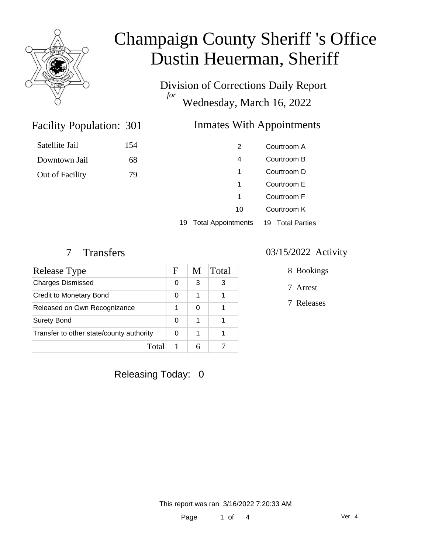

Division of Corrections Daily Report *for* Wednesday, March 16, 2022

### Inmates With Appointments

### Facility Population: 301

### Satellite Jail 154

Downtown Jail 68

Out of Facility 79

|    | 2                         | Courtroom A                |
|----|---------------------------|----------------------------|
|    | 4                         | Courtroom B                |
|    | 1                         | Courtroom D                |
|    | 1                         | Courtroom E                |
|    | 1                         | Courtroom F                |
|    | 10                        | Courtroom K                |
| 19 | <b>Total Appointments</b> | <b>Total Parties</b><br>19 |

| Release Type                             | F | M | Total |
|------------------------------------------|---|---|-------|
| <b>Charges Dismissed</b>                 |   | 3 |       |
| Credit to Monetary Bond                  | 0 |   |       |
| Released on Own Recognizance             |   |   |       |
| <b>Surety Bond</b>                       |   |   |       |
| Transfer to other state/county authority |   |   |       |
| Total                                    |   |   |       |

#### 7 Transfers 03/15/2022 Activity

8 Bookings

7 Arrest

7 Releases

Releasing Today: 0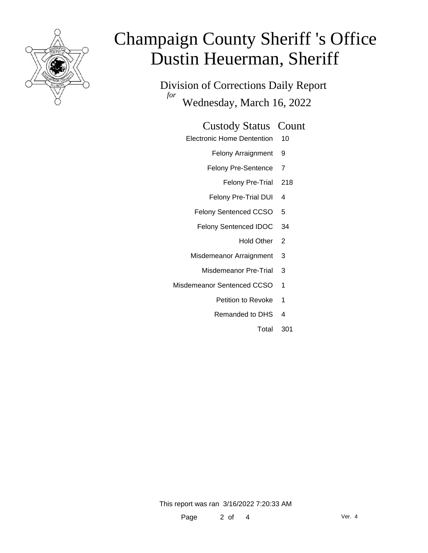

Division of Corrections Daily Report *for* Wednesday, March 16, 2022

#### Custody Status Count

- Electronic Home Dentention 10
	- Felony Arraignment 9
	- Felony Pre-Sentence 7
		- Felony Pre-Trial 218
	- Felony Pre-Trial DUI 4
	- Felony Sentenced CCSO 5
	- Felony Sentenced IDOC 34
		- Hold Other 2
	- Misdemeanor Arraignment 3
		- Misdemeanor Pre-Trial 3
- Misdemeanor Sentenced CCSO 1
	- Petition to Revoke 1
	- Remanded to DHS 4
		- Total 301

This report was ran 3/16/2022 7:20:33 AM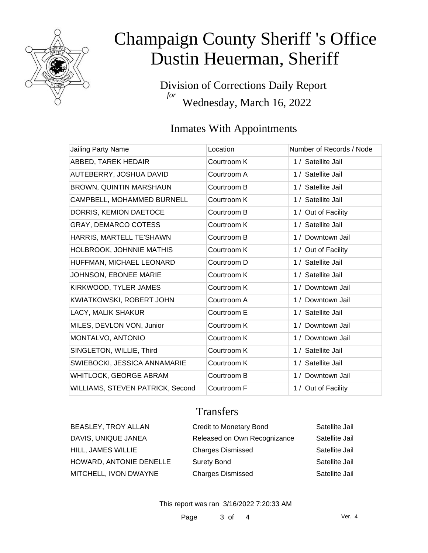

Division of Corrections Daily Report *for* Wednesday, March 16, 2022

### Inmates With Appointments

| <b>Jailing Party Name</b>        | Location    | Number of Records / Node |
|----------------------------------|-------------|--------------------------|
| ABBED, TAREK HEDAIR              | Courtroom K | 1 / Satellite Jail       |
| AUTEBERRY, JOSHUA DAVID          | Courtroom A | 1 / Satellite Jail       |
| BROWN, QUINTIN MARSHAUN          | Courtroom B | 1 / Satellite Jail       |
| CAMPBELL, MOHAMMED BURNELL       | Courtroom K | 1 / Satellite Jail       |
| DORRIS, KEMION DAETOCE           | Courtroom B | 1 / Out of Facility      |
| <b>GRAY, DEMARCO COTESS</b>      | Courtroom K | 1 / Satellite Jail       |
| HARRIS, MARTELL TE'SHAWN         | Courtroom B | 1 / Downtown Jail        |
| HOLBROOK, JOHNNIE MATHIS         | Courtroom K | 1 / Out of Facility      |
| HUFFMAN, MICHAEL LEONARD         | Courtroom D | 1 / Satellite Jail       |
| JOHNSON, EBONEE MARIE            | Courtroom K | 1 / Satellite Jail       |
| KIRKWOOD, TYLER JAMES            | Courtroom K | 1 / Downtown Jail        |
| KWIATKOWSKI, ROBERT JOHN         | Courtroom A | 1 / Downtown Jail        |
| LACY, MALIK SHAKUR               | Courtroom E | 1 / Satellite Jail       |
| MILES, DEVLON VON, Junior        | Courtroom K | 1 / Downtown Jail        |
| MONTALVO, ANTONIO                | Courtroom K | 1 / Downtown Jail        |
| SINGLETON, WILLIE, Third         | Courtroom K | 1 / Satellite Jail       |
| SWIEBOCKI, JESSICA ANNAMARIE     | Courtroom K | 1 / Satellite Jail       |
| WHITLOCK, GEORGE ABRAM           | Courtroom B | 1 / Downtown Jail        |
| WILLIAMS, STEVEN PATRICK, Second | Courtroom F | 1 / Out of Facility      |

### **Transfers**

| <b>BEASLEY, TROY ALLAN</b> | <b>Credit to Monetary Bond</b> | Satellite Jail |
|----------------------------|--------------------------------|----------------|
| DAVIS, UNIQUE JANEA        | Released on Own Recognizance   | Satellite Jail |
| HILL, JAMES WILLIE         | <b>Charges Dismissed</b>       | Satellite Jail |
| HOWARD, ANTONIE DENELLE    | <b>Surety Bond</b>             | Satellite Jail |
| MITCHELL, IVON DWAYNE      | <b>Charges Dismissed</b>       | Satellite Jail |

This report was ran 3/16/2022 7:20:33 AM